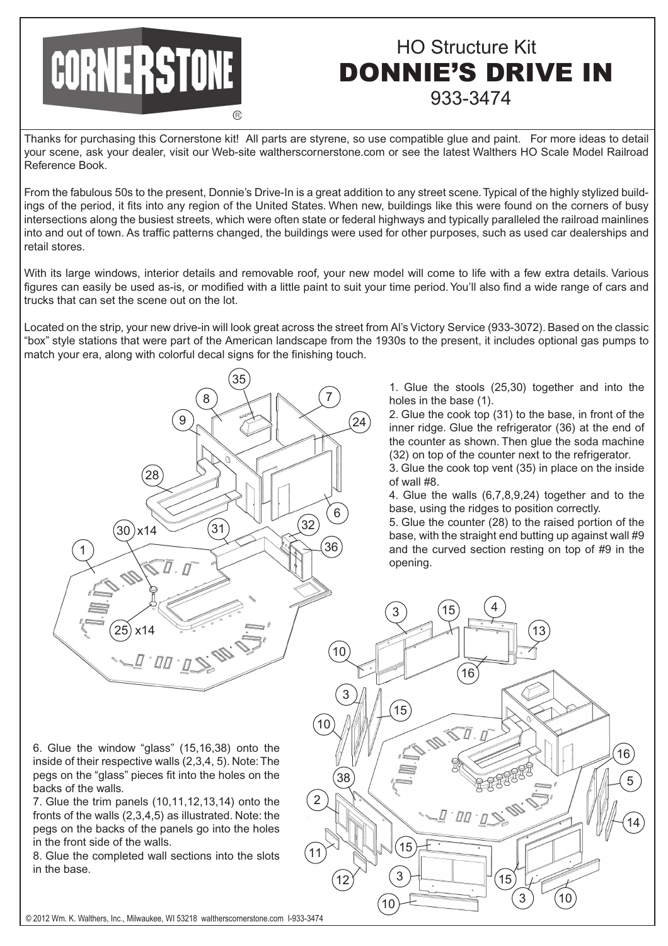## CORNERSTONE

## HO Structure Kit 933-3474 DONNIE'S DRIVE IN

Thanks for purchasing this Cornerstone kit! All parts are styrene, so use compatible glue and paint. For more ideas to detail your scene, ask your dealer, visit our Web-site waltherscornerstone.com or see the latest Walthers HO Scale Model Railroad Reference Book.

From the fabulous 50s to the present, Donnie's Drive-In is a great addition to any street scene. Typical of the highly stylized buildings of the period, it fits into any region of the United States. When new, buildings like this were found on the corners of busy intersections along the busiest streets, which were often state or federal highways and typically paralleled the railroad mainlines into and out of town. As traffic patterns changed, the buildings were used for other purposes, such as used car dealerships and retail stores.

With its large windows, interior details and removable roof, your new model will come to life with a few extra details. Various figures can easily be used as-is, or modified with a little paint to suit your time period. You'll also find a wide range of cars and trucks that can set the scene out on the lot.

Located on the strip, your new drive-in will look great across the street from Al's Victory Service (933-3072). Based on the classic "box" style stations that were part of the American landscape from the 1930s to the present, it includes optional gas pumps to match your era, along with colorful decal signs for the finishing touch.



1. Glue the stools (25,30) together and into the holes in the base (1).

2. Glue the cook top (31) to the base, in front of the inner ridge. Glue the refrigerator (36) at the end of the counter as shown. Then glue the soda machine (32) on top of the counter next to the refrigerator.

3. Glue the cook top vent (35) in place on the inside of wall #8.

4. Glue the walls (6,7,8,9,24) together and to the base, using the ridges to position correctly.

5. Glue the counter (28) to the raised portion of the base, with the straight end butting up against wall #9 and the curved section resting on top of #9 in the opening.



6. Glue the window "glass" (15,16,38) onto the inside of their respective walls (2,3,4, 5). Note: The pegs on the "glass" pieces fit into the holes on the backs of the walls.

7. Glue the trim panels (10,11,12,13,14) onto the fronts of the walls (2,3,4,5) as illustrated. Note: the pegs on the backs of the panels go into the holes in the front side of the walls.

8. Glue the completed wall sections into the slots in the base.